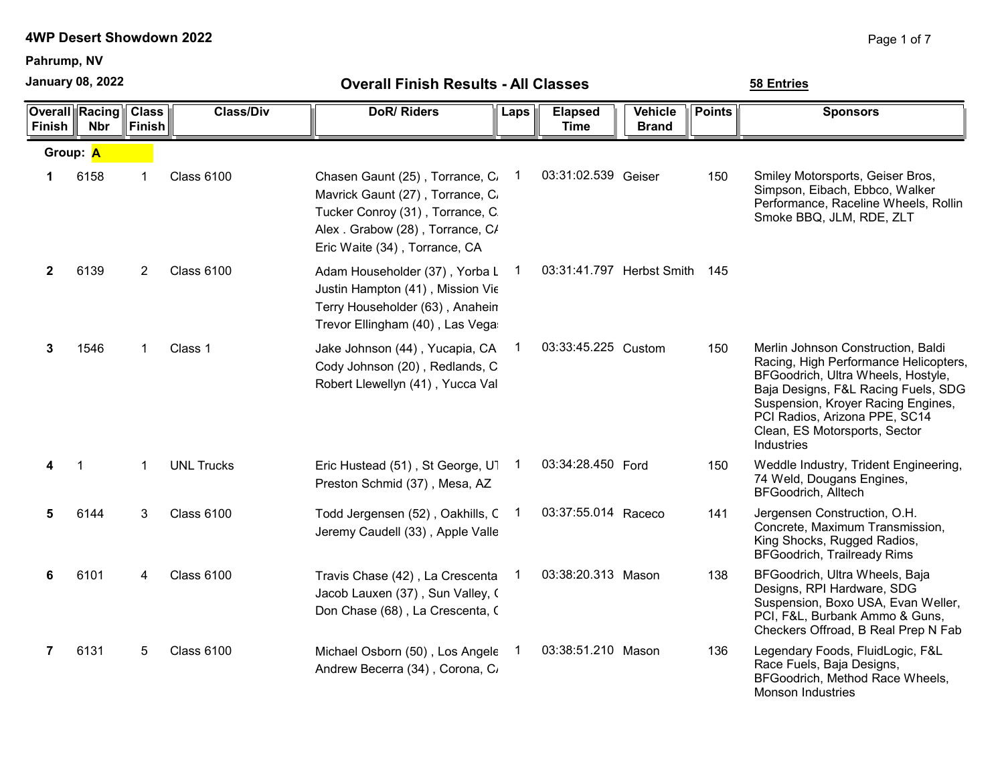Pahrump, NV

January 08, 2022

| Finish | <b>Overall Racing</b><br><b>Nbr</b> | <b>Class</b><br><b>Finish</b> | <b>Class/Div</b>  | <b>DoR/Riders</b>                                                                                                                                                           | Laps           | <b>Elapsed</b><br><b>Time</b> | <b>Vehicle</b><br><b>Brand</b> | <b>Points</b> | <b>Sponsors</b>                                                                                                                                                                                                                                                                       |
|--------|-------------------------------------|-------------------------------|-------------------|-----------------------------------------------------------------------------------------------------------------------------------------------------------------------------|----------------|-------------------------------|--------------------------------|---------------|---------------------------------------------------------------------------------------------------------------------------------------------------------------------------------------------------------------------------------------------------------------------------------------|
|        | Group: A                            |                               |                   |                                                                                                                                                                             |                |                               |                                |               |                                                                                                                                                                                                                                                                                       |
| 1      | 6158                                | 1                             | <b>Class 6100</b> | Chasen Gaunt (25), Torrance, C.<br>Mavrick Gaunt (27), Torrance, C.<br>Tucker Conroy (31), Torrance, C.<br>Alex. Grabow (28), Torrance, C/<br>Eric Waite (34), Torrance, CA | $\overline{1}$ | 03:31:02.539 Geiser           |                                | 150           | Smiley Motorsports, Geiser Bros,<br>Simpson, Eibach, Ebbco, Walker<br>Performance, Raceline Wheels, Rollin<br>Smoke BBQ, JLM, RDE, ZLT                                                                                                                                                |
| 2      | 6139                                | 2                             | <b>Class 6100</b> | Adam Householder (37), Yorba L<br>Justin Hampton (41), Mission Vie<br>Terry Householder (63), Anahein<br>Trevor Ellingham (40), Las Vega                                    |                | 03:31:41.797 Herbst Smith 145 |                                |               |                                                                                                                                                                                                                                                                                       |
| 3      | 1546                                | $\mathbf{1}$                  | Class 1           | Jake Johnson (44), Yucapia, CA<br>Cody Johnson (20), Redlands, C<br>Robert Llewellyn (41), Yucca Val                                                                        | 1              | 03:33:45.225 Custom           |                                | 150           | Merlin Johnson Construction, Baldi<br>Racing, High Performance Helicopters,<br>BFGoodrich, Ultra Wheels, Hostyle,<br>Baja Designs, F&L Racing Fuels, SDG<br>Suspension, Kroyer Racing Engines,<br>PCI Radios, Arizona PPE, SC14<br>Clean, ES Motorsports, Sector<br><b>Industries</b> |
| 4      | 1                                   | $\mathbf 1$                   | <b>UNL Trucks</b> | Eric Hustead (51), St George, U1<br>Preston Schmid (37), Mesa, AZ                                                                                                           | $\blacksquare$ | 03:34:28.450 Ford             |                                | 150           | Weddle Industry, Trident Engineering,<br>74 Weld, Dougans Engines,<br><b>BFGoodrich, Alltech</b>                                                                                                                                                                                      |
| 5      | 6144                                | 3                             | <b>Class 6100</b> | Todd Jergensen (52), Oakhills, C 1<br>Jeremy Caudell (33), Apple Valle                                                                                                      |                | 03:37:55.014 Raceco           |                                | 141           | Jergensen Construction, O.H.<br>Concrete, Maximum Transmission,<br>King Shocks, Rugged Radios,<br><b>BFGoodrich, Trailready Rims</b>                                                                                                                                                  |
| 6      | 6101                                | 4                             | <b>Class 6100</b> | Travis Chase (42), La Crescenta<br>Jacob Lauxen (37), Sun Valley, (<br>Don Chase (68), La Crescenta, C                                                                      |                | 03:38:20.313 Mason            |                                | 138           | BFGoodrich, Ultra Wheels, Baja<br>Designs, RPI Hardware, SDG<br>Suspension, Boxo USA, Evan Weller,<br>PCI, F&L, Burbank Ammo & Guns,<br>Checkers Offroad, B Real Prep N Fab                                                                                                           |
| 7      | 6131                                | 5                             | <b>Class 6100</b> | Michael Osborn (50), Los Angele<br>Andrew Becerra (34), Corona, C                                                                                                           | 1              | 03:38:51.210 Mason            |                                | 136           | Legendary Foods, FluidLogic, F&L<br>Race Fuels, Baja Designs,<br>BFGoodrich, Method Race Wheels,<br><b>Monson Industries</b>                                                                                                                                                          |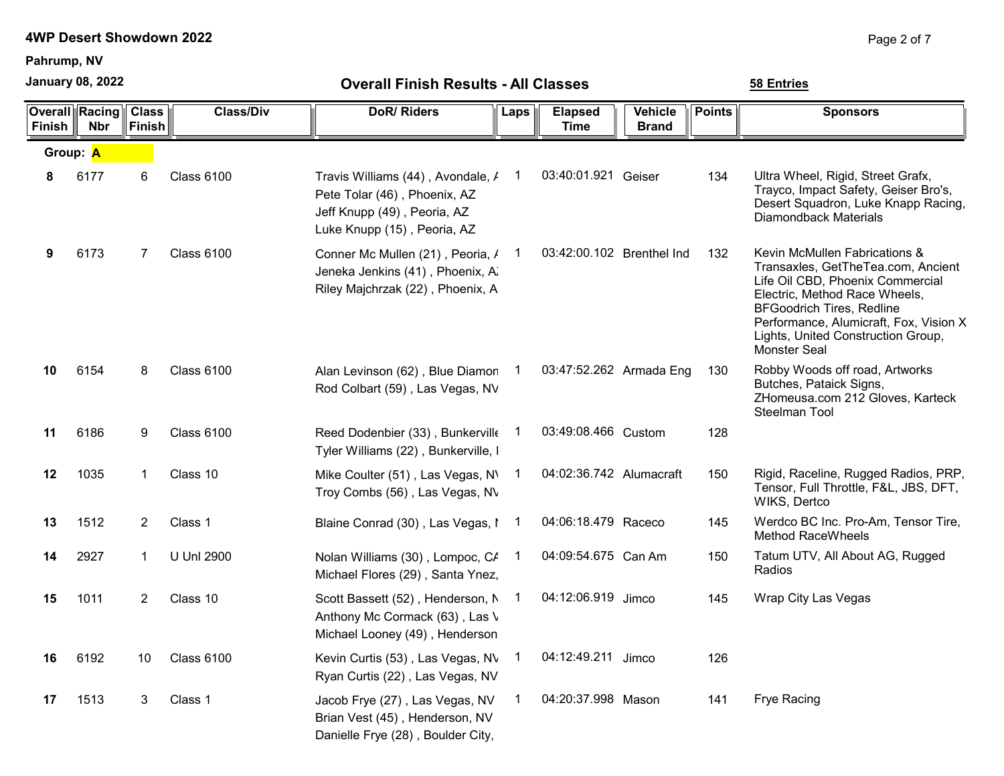Pahrump, NV

January 08, 2022

| <b>Finish</b> | <b>Overall Racing</b><br><b>Nbr</b> | <b>Class</b><br>Finish | <b>Class/Div</b>  | <b>DoR/Riders</b>                                                                                                               | Laps           | <b>Elapsed</b><br>Time    | <b>Vehicle</b><br><b>Brand</b> | <b>Points</b> | <b>Sponsors</b>                                                                                                                                                                                                                                                              |
|---------------|-------------------------------------|------------------------|-------------------|---------------------------------------------------------------------------------------------------------------------------------|----------------|---------------------------|--------------------------------|---------------|------------------------------------------------------------------------------------------------------------------------------------------------------------------------------------------------------------------------------------------------------------------------------|
|               | Group: A                            |                        |                   |                                                                                                                                 |                |                           |                                |               |                                                                                                                                                                                                                                                                              |
| 8             | 6177                                | 6                      | Class 6100        | Travis Williams (44), Avondale, /<br>Pete Tolar (46), Phoenix, AZ<br>Jeff Knupp (49), Peoria, AZ<br>Luke Knupp (15), Peoria, AZ | 1              | 03:40:01.921 Geiser       |                                | 134           | Ultra Wheel, Rigid, Street Grafx,<br>Trayco, Impact Safety, Geiser Bro's,<br>Desert Squadron, Luke Knapp Racing,<br><b>Diamondback Materials</b>                                                                                                                             |
| 9             | 6173                                | $\overline{7}$         | Class 6100        | Conner Mc Mullen (21), Peoria, /<br>Jeneka Jenkins (41), Phoenix, A.<br>Riley Majchrzak (22), Phoenix, A                        | $\mathbf 1$    | 03:42:00.102 Brenthel Ind |                                | 132           | Kevin McMullen Fabrications &<br>Transaxles, GetTheTea.com, Ancient<br>Life Oil CBD, Phoenix Commercial<br>Electric, Method Race Wheels,<br><b>BFGoodrich Tires, Redline</b><br>Performance, Alumicraft, Fox, Vision X<br>Lights, United Construction Group,<br>Monster Seal |
| 10            | 6154                                | 8                      | <b>Class 6100</b> | Alan Levinson (62), Blue Diamon<br>Rod Colbart (59), Las Vegas, NV                                                              | $\overline{1}$ | 03:47:52.262 Armada Eng   |                                | 130           | Robby Woods off road, Artworks<br>Butches, Pataick Signs,<br>ZHomeusa.com 212 Gloves, Karteck<br>Steelman Tool                                                                                                                                                               |
| 11            | 6186                                | 9                      | <b>Class 6100</b> | Reed Dodenbier (33), Bunkerville<br>Tyler Williams (22), Bunkerville, I                                                         |                | 03:49:08.466 Custom       |                                | 128           |                                                                                                                                                                                                                                                                              |
| 12            | 1035                                | $\mathbf 1$            | Class 10          | Mike Coulter (51), Las Vegas, N\<br>Troy Combs (56), Las Vegas, NV                                                              | 1              | 04:02:36.742 Alumacraft   |                                | 150           | Rigid, Raceline, Rugged Radios, PRP,<br>Tensor, Full Throttle, F&L, JBS, DFT,<br>WIKS, Dertco                                                                                                                                                                                |
| 13            | 1512                                | $\overline{2}$         | Class 1           | Blaine Conrad (30), Las Vegas, I                                                                                                | 1              | 04:06:18.479 Raceco       |                                | 145           | Werdco BC Inc. Pro-Am, Tensor Tire,<br><b>Method RaceWheels</b>                                                                                                                                                                                                              |
| 14            | 2927                                | $\mathbf{1}$           | U Unl 2900        | Nolan Williams (30), Lompoc, CA<br>Michael Flores (29), Santa Ynez,                                                             | $\overline{1}$ | 04:09:54.675 Can Am       |                                | 150           | Tatum UTV, All About AG, Rugged<br>Radios                                                                                                                                                                                                                                    |
| 15            | 1011                                | 2                      | Class 10          | Scott Bassett (52), Henderson, N<br>Anthony Mc Cormack (63), Las \<br>Michael Looney (49), Henderson                            | 1              | 04:12:06.919 Jimco        |                                | 145           | Wrap City Las Vegas                                                                                                                                                                                                                                                          |
| 16            | 6192                                | 10                     | Class 6100        | Kevin Curtis (53), Las Vegas, NV<br>Ryan Curtis (22), Las Vegas, NV                                                             | 1              | 04:12:49.211 Jimco        |                                | 126           |                                                                                                                                                                                                                                                                              |
| 17            | 1513                                | 3                      | Class 1           | Jacob Frye (27), Las Vegas, NV<br>Brian Vest (45), Henderson, NV<br>Danielle Frye (28), Boulder City,                           |                | 04:20:37.998 Mason        |                                | 141           | Frye Racing                                                                                                                                                                                                                                                                  |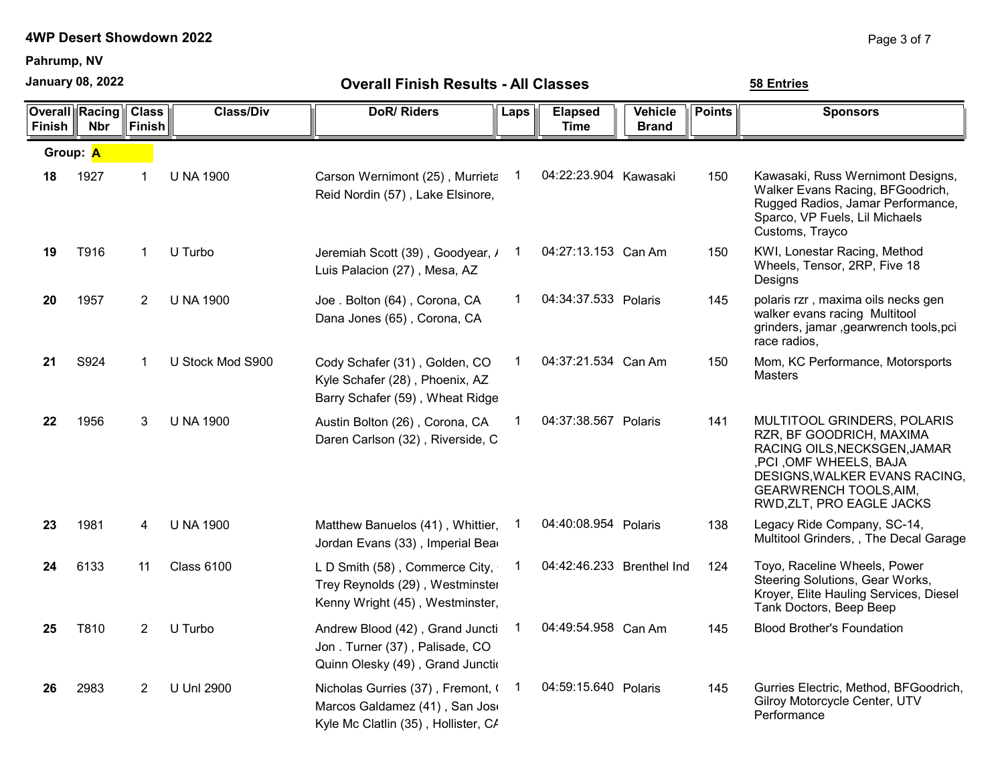Pahrump, NV

January 08, 2022

| <b>Finish</b> | <b>Overall Racing</b><br><b>Nbr</b> | <b>Class</b><br><b>Finish</b> | <b>Class/Div</b>  | <b>DoR/Riders</b>                                                                                         | Laps | <b>Elapsed</b><br><b>Time</b> | Vehicle<br><b>Brand</b> | <b>Points</b> | <b>Sponsors</b>                                                                                                                                                                                                   |
|---------------|-------------------------------------|-------------------------------|-------------------|-----------------------------------------------------------------------------------------------------------|------|-------------------------------|-------------------------|---------------|-------------------------------------------------------------------------------------------------------------------------------------------------------------------------------------------------------------------|
| Group: A      |                                     |                               |                   |                                                                                                           |      |                               |                         |               |                                                                                                                                                                                                                   |
| 18            | 1927                                | 1                             | <b>U NA 1900</b>  | Carson Wernimont (25), Murrieta<br>Reid Nordin (57), Lake Elsinore,                                       | 1    | 04:22:23.904 Kawasaki         |                         | 150           | Kawasaki, Russ Wernimont Designs,<br>Walker Evans Racing, BFGoodrich,<br>Rugged Radios, Jamar Performance,<br>Sparco, VP Fuels, Lil Michaels<br>Customs, Trayco                                                   |
| 19            | T916                                | $\mathbf 1$                   | U Turbo           | Jeremiah Scott (39), Goodyear, /<br>Luis Palacion (27), Mesa, AZ                                          | 1    | 04:27:13.153 Can Am           |                         | 150           | KWI, Lonestar Racing, Method<br>Wheels, Tensor, 2RP, Five 18<br>Designs                                                                                                                                           |
| 20            | 1957                                | 2                             | <b>U NA 1900</b>  | Joe. Bolton (64), Corona, CA<br>Dana Jones (65), Corona, CA                                               | 1    | 04:34:37.533 Polaris          |                         | 145           | polaris rzr, maxima oils necks gen<br>walker evans racing Multitool<br>grinders, jamar , gearwrench tools, pci<br>race radios,                                                                                    |
| 21            | S924                                | $\mathbf 1$                   | U Stock Mod S900  | Cody Schafer (31), Golden, CO<br>Kyle Schafer (28), Phoenix, AZ<br>Barry Schafer (59), Wheat Ridge        | 1    | 04:37:21.534 Can Am           |                         | 150           | Mom, KC Performance, Motorsports<br><b>Masters</b>                                                                                                                                                                |
| 22            | 1956                                | 3                             | <b>U NA 1900</b>  | Austin Bolton (26), Corona, CA<br>Daren Carlson (32), Riverside, C                                        | 1    | 04:37:38.567 Polaris          |                         | 141           | MULTITOOL GRINDERS, POLARIS<br>RZR, BF GOODRICH, MAXIMA<br>RACING OILS, NECKSGEN, JAMAR<br>, PCI, OMF WHEELS, BAJA<br>DESIGNS, WALKER EVANS RACING,<br><b>GEARWRENCH TOOLS, AIM,</b><br>RWD, ZLT, PRO EAGLE JACKS |
| 23            | 1981                                | 4                             | <b>U NA 1900</b>  | Matthew Banuelos (41), Whittier,<br>Jordan Evans (33), Imperial Bear                                      |      | 04:40:08.954 Polaris          |                         | 138           | Legacy Ride Company, SC-14,<br>Multitool Grinders, , The Decal Garage                                                                                                                                             |
| 24            | 6133                                | 11                            | <b>Class 6100</b> | L D Smith (58), Commerce City,<br>Trey Reynolds (29), Westminster<br>Kenny Wright (45), Westminster,      | 1    | 04:42:46.233 Brenthel Ind     |                         | 124           | Toyo, Raceline Wheels, Power<br>Steering Solutions, Gear Works,<br>Kroyer, Elite Hauling Services, Diesel<br>Tank Doctors, Beep Beep                                                                              |
| 25            | T810                                | 2                             | U Turbo           | Andrew Blood (42), Grand Juncti<br>Jon. Turner (37), Palisade, CO<br>Quinn Olesky (49), Grand Junctio     | 1    | 04:49:54.958 Can Am           |                         | 145           | <b>Blood Brother's Foundation</b>                                                                                                                                                                                 |
| 26            | 2983                                | 2                             | <b>U Unl 2900</b> | Nicholas Gurries (37), Fremont, (<br>Marcos Galdamez (41), San Jos<br>Kyle Mc Clatlin (35), Hollister, C/ |      | 04:59:15.640 Polaris          |                         | 145           | Gurries Electric, Method, BFGoodrich,<br>Gilroy Motorcycle Center, UTV<br>Performance                                                                                                                             |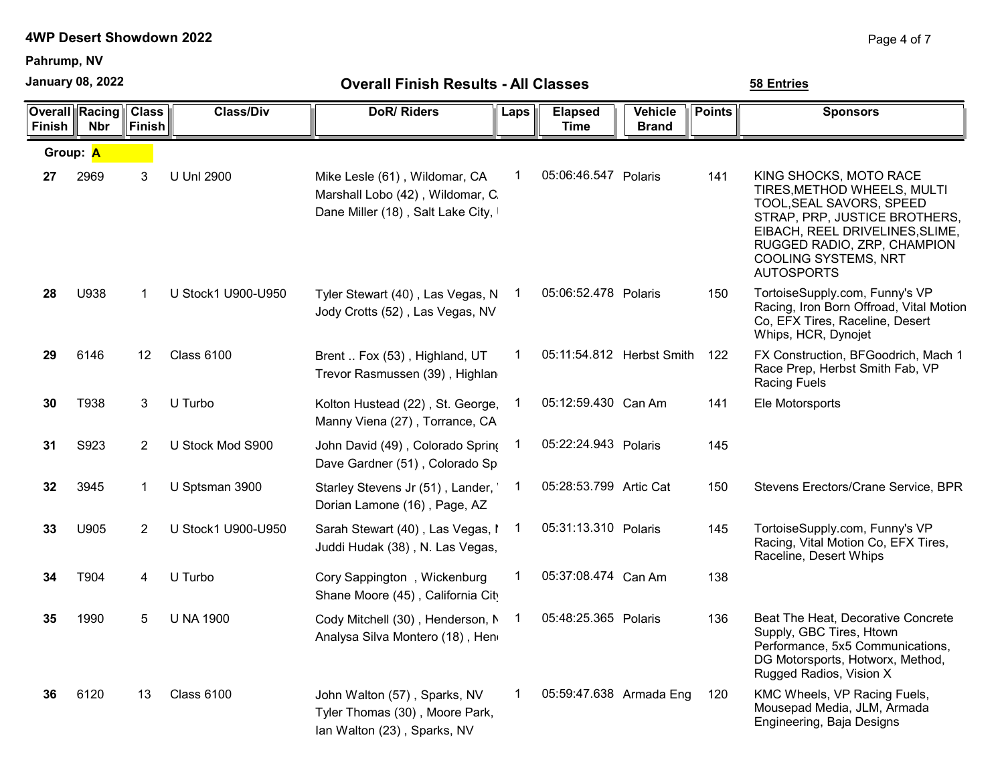Pahrump, NV

January 08, 2022

| <b>Finish</b> | <b>Overall Racing</b><br><b>Nbr</b> | <b>Class</b><br><b>Finish</b> | <b>Class/Div</b>   | <b>DoR/Riders</b>                                                                                      | Laps | <b>Elapsed</b><br><b>Time</b> | <b>Vehicle</b><br><b>Brand</b> | <b>Points</b> | <b>Sponsors</b>                                                                                                                                                                                                                   |
|---------------|-------------------------------------|-------------------------------|--------------------|--------------------------------------------------------------------------------------------------------|------|-------------------------------|--------------------------------|---------------|-----------------------------------------------------------------------------------------------------------------------------------------------------------------------------------------------------------------------------------|
|               | Group: A                            |                               |                    |                                                                                                        |      |                               |                                |               |                                                                                                                                                                                                                                   |
| 27            | 2969                                | 3                             | U Unl 2900         | Mike Lesle (61), Wildomar, CA<br>Marshall Lobo (42), Wildomar, C.<br>Dane Miller (18), Salt Lake City, | 1    | 05:06:46.547 Polaris          |                                | 141           | KING SHOCKS, MOTO RACE<br>TIRES, METHOD WHEELS, MULTI<br>TOOL, SEAL SAVORS, SPEED<br>STRAP, PRP, JUSTICE BROTHERS,<br>EIBACH, REEL DRIVELINES, SLIME,<br>RUGGED RADIO, ZRP, CHAMPION<br>COOLING SYSTEMS, NRT<br><b>AUTOSPORTS</b> |
| 28            | U938                                | 1                             | U Stock1 U900-U950 | Tyler Stewart (40), Las Vegas, N<br>Jody Crotts (52), Las Vegas, NV                                    | -1   | 05:06:52.478 Polaris          |                                | 150           | TortoiseSupply.com, Funny's VP<br>Racing, Iron Born Offroad, Vital Motion<br>Co, EFX Tires, Raceline, Desert<br>Whips, HCR, Dynojet                                                                                               |
| 29            | 6146                                | 12                            | <b>Class 6100</b>  | Brent  Fox (53), Highland, UT<br>Trevor Rasmussen (39), Highlan                                        | 1    | 05:11:54.812 Herbst Smith     |                                | 122           | FX Construction, BFGoodrich, Mach 1<br>Race Prep, Herbst Smith Fab, VP<br><b>Racing Fuels</b>                                                                                                                                     |
| 30            | T938                                | 3                             | U Turbo            | Kolton Hustead (22), St. George,<br>Manny Viena (27), Torrance, CA                                     |      | 05:12:59.430 Can Am           |                                | 141           | Ele Motorsports                                                                                                                                                                                                                   |
| 31            | S923                                | 2                             | U Stock Mod S900   | John David (49), Colorado Spring<br>Dave Gardner (51), Colorado Sp                                     | 1    | 05:22:24.943 Polaris          |                                | 145           |                                                                                                                                                                                                                                   |
| 32            | 3945                                | 1                             | U Sptsman 3900     | Starley Stevens Jr (51), Lander,<br>Dorian Lamone (16), Page, AZ                                       | 1    | 05:28:53.799 Artic Cat        |                                | 150           | Stevens Erectors/Crane Service, BPR                                                                                                                                                                                               |
| 33            | U905                                | 2                             | U Stock1 U900-U950 | Sarah Stewart (40), Las Vegas, I<br>Juddi Hudak (38), N. Las Vegas,                                    | 1    | 05:31:13.310 Polaris          |                                | 145           | TortoiseSupply.com, Funny's VP<br>Racing, Vital Motion Co, EFX Tires,<br>Raceline, Desert Whips                                                                                                                                   |
| 34            | T904                                | 4                             | U Turbo            | Cory Sappington, Wickenburg<br>Shane Moore (45), California City                                       |      | 05:37:08.474 Can Am           |                                | 138           |                                                                                                                                                                                                                                   |
| 35            | 1990                                | 5                             | <b>U NA 1900</b>   | Cody Mitchell (30), Henderson, N<br>Analysa Silva Montero (18), Hen                                    | 1    | 05:48:25.365 Polaris          |                                | 136           | Beat The Heat, Decorative Concrete<br>Supply, GBC Tires, Htown<br>Performance, 5x5 Communications,<br>DG Motorsports, Hotworx, Method,<br>Rugged Radios, Vision X                                                                 |
| 36            | 6120                                | 13                            | <b>Class 6100</b>  | John Walton (57), Sparks, NV<br>Tyler Thomas (30), Moore Park,<br>Ian Walton (23), Sparks, NV          | 1    | 05:59:47.638 Armada Eng       |                                | 120           | KMC Wheels, VP Racing Fuels,<br>Mousepad Media, JLM, Armada<br>Engineering, Baja Designs                                                                                                                                          |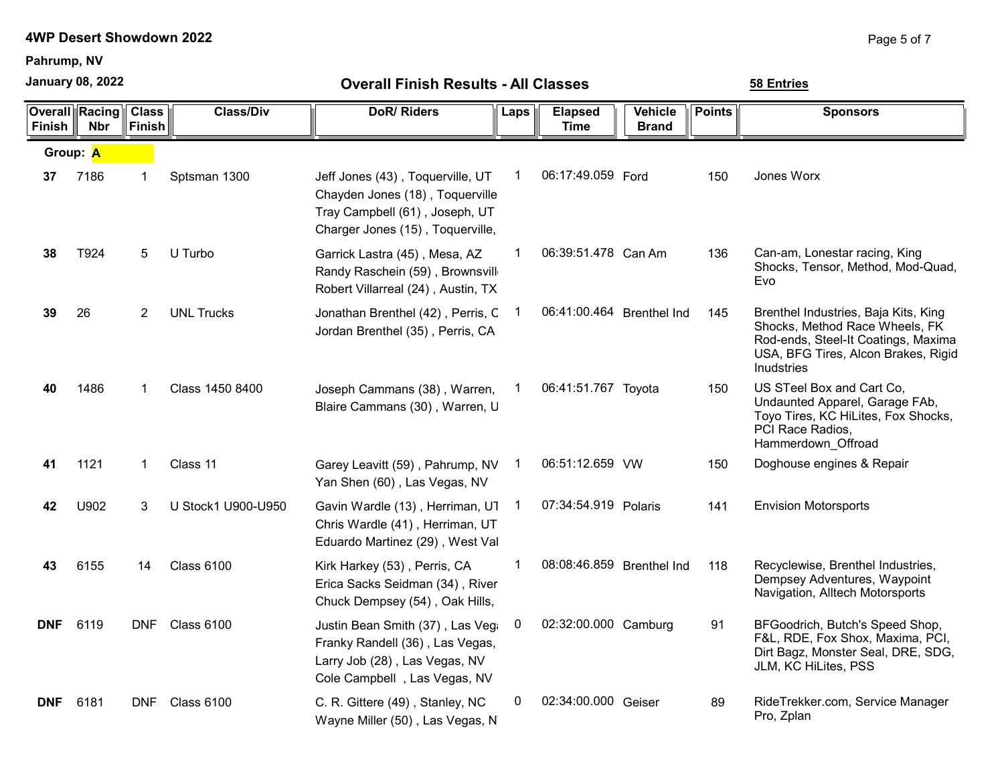Pahrump, NV

January 08, 2022

| Finish     | <b>Overall Racing</b><br><b>Nbr</b> | <b>Class</b><br>Finish | <b>Class/Div</b>   | <b>DoR/Riders</b>                                                                                                                         | Laps         | <b>Elapsed</b><br><b>Time</b> | <b>Vehicle</b><br><b>Brand</b> | <b>Points</b> | <b>Sponsors</b>                                                                                                                                                    |
|------------|-------------------------------------|------------------------|--------------------|-------------------------------------------------------------------------------------------------------------------------------------------|--------------|-------------------------------|--------------------------------|---------------|--------------------------------------------------------------------------------------------------------------------------------------------------------------------|
| Group: A   |                                     |                        |                    |                                                                                                                                           |              |                               |                                |               |                                                                                                                                                                    |
| 37         | 7186                                | 1                      | Sptsman 1300       | Jeff Jones (43), Toquerville, UT<br>Chayden Jones (18), Toquerville<br>Tray Campbell (61), Joseph, UT<br>Charger Jones (15), Toquerville, | 1            | 06:17:49.059 Ford             |                                | 150           | Jones Worx                                                                                                                                                         |
| 38         | T924                                | 5                      | U Turbo            | Garrick Lastra (45), Mesa, AZ<br>Randy Raschein (59), Brownsvill<br>Robert Villarreal (24), Austin, TX                                    | 1            | 06:39:51.478 Can Am           |                                | 136           | Can-am, Lonestar racing, King<br>Shocks, Tensor, Method, Mod-Quad,<br>Evo                                                                                          |
| 39         | 26                                  | 2                      | <b>UNL Trucks</b>  | Jonathan Brenthel (42), Perris, C<br>Jordan Brenthel (35), Perris, CA                                                                     | 1            | 06:41:00.464 Brenthel Ind     |                                | 145           | Brenthel Industries, Baja Kits, King<br>Shocks, Method Race Wheels, FK<br>Rod-ends, Steel-It Coatings, Maxima<br>USA, BFG Tires, Alcon Brakes, Rigid<br>Inudstries |
| 40         | 1486                                | 1                      | Class 1450 8400    | Joseph Cammans (38), Warren,<br>Blaire Cammans (30), Warren, U                                                                            |              | 06:41:51.767 Toyota           |                                | 150           | US STeel Box and Cart Co.<br>Undaunted Apparel, Garage FAb,<br>Toyo Tires, KC HiLites, Fox Shocks,<br>PCI Race Radios,<br>Hammerdown Offroad                       |
| 41         | 1121                                | 1                      | Class 11           | Garey Leavitt (59), Pahrump, NV<br>Yan Shen (60), Las Vegas, NV                                                                           | $\mathbf{1}$ | 06:51:12.659 VW               |                                | 150           | Doghouse engines & Repair                                                                                                                                          |
| 42         | U902                                | 3                      | U Stock1 U900-U950 | Gavin Wardle (13), Herriman, U1<br>Chris Wardle (41), Herriman, UT<br>Eduardo Martinez (29), West Val                                     | 1            | 07:34:54.919 Polaris          |                                | 141           | <b>Envision Motorsports</b>                                                                                                                                        |
| 43         | 6155                                | 14                     | <b>Class 6100</b>  | Kirk Harkey (53), Perris, CA<br>Erica Sacks Seidman (34), River<br>Chuck Dempsey (54), Oak Hills,                                         | 1            | 08:08:46.859 Brenthel Ind     |                                | 118           | Recyclewise, Brenthel Industries,<br>Dempsey Adventures, Waypoint<br>Navigation, Alltech Motorsports                                                               |
| <b>DNF</b> | 6119                                | <b>DNF</b>             | <b>Class 6100</b>  | Justin Bean Smith (37), Las Vega<br>Franky Randell (36), Las Vegas,<br>Larry Job (28), Las Vegas, NV<br>Cole Campbell, Las Vegas, NV      | 0            | 02:32:00.000 Camburg          |                                | 91            | BFGoodrich, Butch's Speed Shop,<br>F&L, RDE, Fox Shox, Maxima, PCI,<br>Dirt Bagz, Monster Seal, DRE, SDG,<br>JLM, KC HiLites, PSS                                  |
| <b>DNF</b> | 6181                                | <b>DNF</b>             | <b>Class 6100</b>  | C. R. Gittere (49), Stanley, NC<br>Wayne Miller (50), Las Vegas, N                                                                        | 0            | 02:34:00.000 Geiser           |                                | 89            | RideTrekker.com, Service Manager<br>Pro, Zplan                                                                                                                     |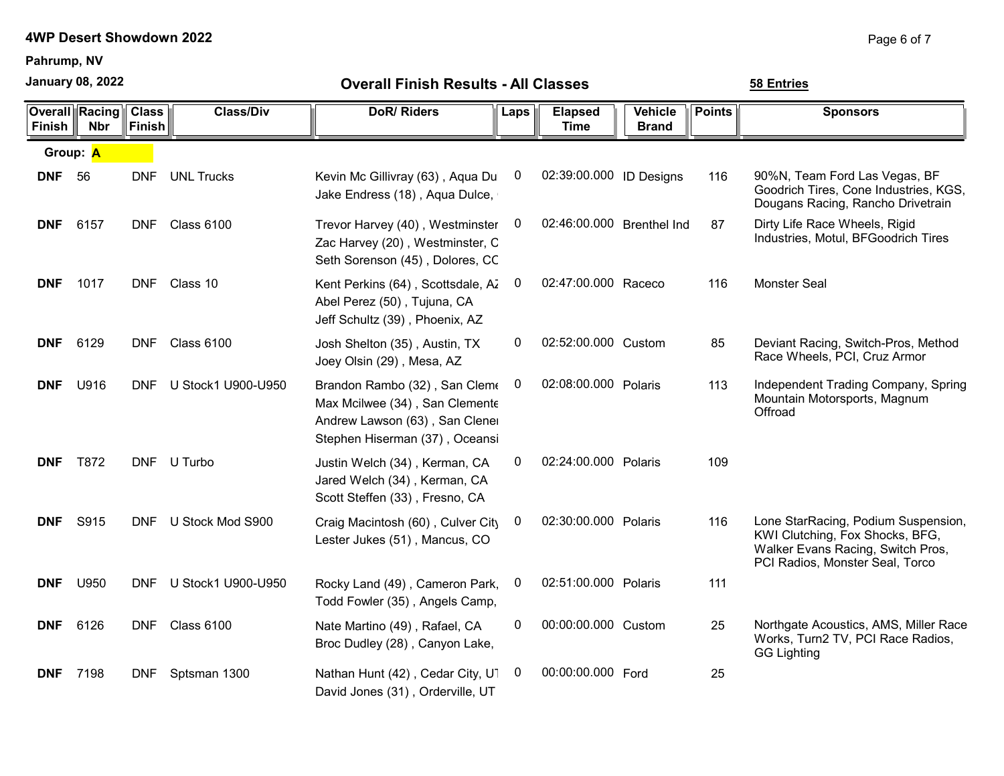Pahrump, NV

January 08, 2022

| <b>Finish</b> | Overall  Racing <br><b>Nbr</b> | <b>Class</b><br><b>Finish</b> | <b>Class/Div</b>       | <b>DoR/Riders</b>                                                                                                                   | Laps | <b>Elapsed</b><br><b>Time</b> | <b>Vehicle</b><br><b>Brand</b> | <b>Points</b> | <b>Sponsors</b>                                                                                                                                |
|---------------|--------------------------------|-------------------------------|------------------------|-------------------------------------------------------------------------------------------------------------------------------------|------|-------------------------------|--------------------------------|---------------|------------------------------------------------------------------------------------------------------------------------------------------------|
|               | Group: A                       |                               |                        |                                                                                                                                     |      |                               |                                |               |                                                                                                                                                |
| <b>DNF</b>    | 56                             | <b>DNF</b>                    | <b>UNL Trucks</b>      | Kevin Mc Gillivray (63), Aqua Du<br>Jake Endress (18), Aqua Dulce,                                                                  | 0    | 02:39:00.000 ID Designs       |                                | 116           | 90%N, Team Ford Las Vegas, BF<br>Goodrich Tires, Cone Industries, KGS,<br>Dougans Racing, Rancho Drivetrain                                    |
| <b>DNF</b>    | 6157                           |                               | DNF Class 6100         | Trevor Harvey (40), Westminster<br>Zac Harvey (20), Westminster, C<br>Seth Sorenson (45), Dolores, CC                               | 0    | 02:46:00.000 Brenthel Ind     |                                | 87            | Dirty Life Race Wheels, Rigid<br>Industries, Motul, BFGoodrich Tires                                                                           |
| <b>DNF</b>    | 1017                           |                               | DNF Class 10           | Kent Perkins (64), Scottsdale, Az<br>Abel Perez (50), Tujuna, CA<br>Jeff Schultz (39), Phoenix, AZ                                  | 0    | 02:47:00.000 Raceco           |                                | 116           | <b>Monster Seal</b>                                                                                                                            |
| <b>DNF</b>    | 6129                           |                               | DNF Class 6100         | Josh Shelton (35), Austin, TX<br>Joey Olsin (29), Mesa, AZ                                                                          | 0    | 02:52:00.000 Custom           |                                | 85            | Deviant Racing, Switch-Pros, Method<br>Race Wheels, PCI, Cruz Armor                                                                            |
| <b>DNF</b>    | U916                           |                               | DNF U Stock1 U900-U950 | Brandon Rambo (32), San Cleme<br>Max Mcilwee (34), San Clemente<br>Andrew Lawson (63), San Clener<br>Stephen Hiserman (37), Oceansi | 0    | 02:08:00.000 Polaris          |                                | 113           | Independent Trading Company, Spring<br>Mountain Motorsports, Magnum<br>Offroad                                                                 |
| <b>DNF</b>    | T872                           |                               | DNF U Turbo            | Justin Welch (34), Kerman, CA<br>Jared Welch (34), Kerman, CA<br>Scott Steffen (33), Fresno, CA                                     | 0    | 02:24:00.000 Polaris          |                                | 109           |                                                                                                                                                |
| <b>DNF</b>    | S915                           | <b>DNF</b>                    | U Stock Mod S900       | Craig Macintosh (60), Culver City<br>Lester Jukes (51), Mancus, CO                                                                  | 0    | 02:30:00.000 Polaris          |                                | 116           | Lone StarRacing, Podium Suspension,<br>KWI Clutching, Fox Shocks, BFG,<br>Walker Evans Racing, Switch Pros,<br>PCI Radios, Monster Seal, Torco |
| <b>DNF</b>    | U950                           | <b>DNF</b>                    | U Stock1 U900-U950     | Rocky Land (49), Cameron Park,<br>Todd Fowler (35), Angels Camp,                                                                    | 0    | 02:51:00.000 Polaris          |                                | 111           |                                                                                                                                                |
| <b>DNF</b>    | 6126                           | <b>DNF</b>                    | <b>Class 6100</b>      | Nate Martino (49), Rafael, CA<br>Broc Dudley (28), Canyon Lake,                                                                     | 0    | 00:00:00.000 Custom           |                                | 25            | Northgate Acoustics, AMS, Miller Race<br>Works, Turn2 TV, PCI Race Radios,<br><b>GG Lighting</b>                                               |
| <b>DNF</b>    | 7198                           | <b>DNF</b>                    | Sptsman 1300           | Nathan Hunt (42), Cedar City, U1<br>David Jones (31), Orderville, UT                                                                | 0    | 00:00:00.000 Ford             |                                | 25            |                                                                                                                                                |